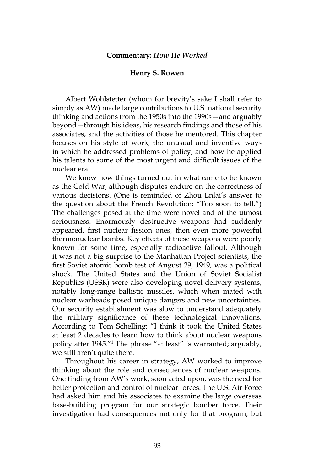#### **Commentary:** *How He Worked*

### **Henry S. Rowen**

Albert Wohlstetter (whom for brevity's sake I shall refer to simply as AW) made large contributions to U.S. national security thinking and actions from the 1950s into the 1990s—and arguably beyond—through his ideas, his research findings and those of his associates, and the activities of those he mentored. This chapter focuses on his style of work, the unusual and inventive ways in which he addressed problems of policy, and how he applied his talents to some of the most urgent and difficult issues of the nuclear era.

We know how things turned out in what came to be known as the Cold War, although disputes endure on the correctness of various decisions. (One is reminded of Zhou Enlai's answer to the question about the French Revolution: "Too soon to tell.") The challenges posed at the time were novel and of the utmost seriousness. Enormously destructive weapons had suddenly appeared, first nuclear fission ones, then even more powerful thermonuclear bombs. Key effects of these weapons were poorly known for some time, especially radioactive fallout. Although it was not a big surprise to the Manhattan Project scientists, the first Soviet atomic bomb test of August 29, 1949, was a political shock. The United States and the Union of Soviet Socialist Republics (USSR) were also developing novel delivery systems, notably long-range ballistic missiles, which when mated with nuclear warheads posed unique dangers and new uncertainties. Our security establishment was slow to understand adequately the military significance of these technological innovations. According to Tom Schelling: "I think it took the United States at least 2 decades to learn how to think about nuclear weapons policy after 1945."1 The phrase "at least" is warranted; arguably, we still aren't quite there.

Throughout his career in strategy, AW worked to improve thinking about the role and consequences of nuclear weapons. One finding from AW's work, soon acted upon, was the need for better protection and control of nuclear forces. The U.S. Air Force had asked him and his associates to examine the large overseas base-building program for our strategic bomber force. Their investigation had consequences not only for that program, but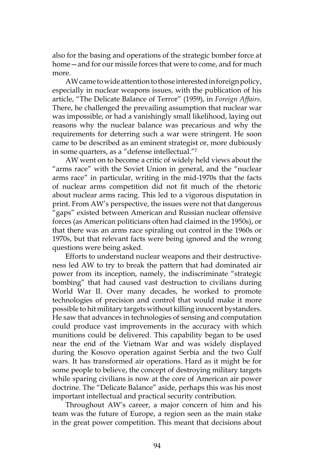also for the basing and operations of the strategic bomber force at home—and for our missile forces that were to come, and for much more.

AW came to wide attention to those interested in foreign policy, especially in nuclear weapons issues, with the publication of his article, "The Delicate Balance of Terror" (1959), in *Foreign Affairs*. There, he challenged the prevailing assumption that nuclear war was impossible, or had a vanishingly small likelihood, laying out reasons why the nuclear balance was precarious and why the requirements for deterring such a war were stringent. He soon came to be described as an eminent strategist or, more dubiously in some quarters, as a "defense intellectual."2

AW went on to become a critic of widely held views about the "arms race" with the Soviet Union in general, and the "nuclear arms race" in particular, writing in the mid-1970s that the facts of nuclear arms competition did not fit much of the rhetoric about nuclear arms racing. This led to a vigorous disputation in print. From AW's perspective, the issues were not that dangerous "gaps" existed between American and Russian nuclear offensive forces (as American politicians often had claimed in the 1950s), or that there was an arms race spiraling out control in the 1960s or 1970s, but that relevant facts were being ignored and the wrong questions were being asked.

Efforts to understand nuclear weapons and their destructiveness led AW to try to break the pattern that had dominated air power from its inception, namely, the indiscriminate "strategic bombing" that had caused vast destruction to civilians during World War II. Over many decades, he worked to promote technologies of precision and control that would make it more possible to hit military targets without killing innocent bystanders. He saw that advances in technologies of sensing and computation could produce vast improvements in the accuracy with which munitions could be delivered. This capability began to be used near the end of the Vietnam War and was widely displayed during the Kosovo operation against Serbia and the two Gulf wars. It has transformed air operations. Hard as it might be for some people to believe, the concept of destroying military targets while sparing civilians is now at the core of American air power doctrine. The "Delicate Balance" aside, perhaps this was his most important intellectual and practical security contribution.

Throughout AW's career, a major concern of him and his team was the future of Europe, a region seen as the main stake in the great power competition. This meant that decisions about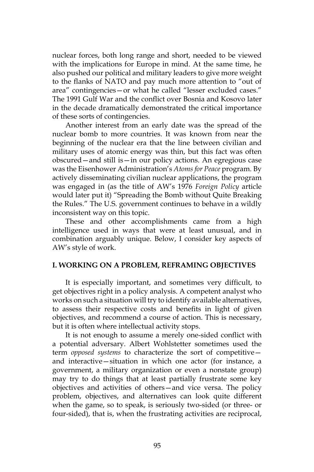nuclear forces, both long range and short, needed to be viewed with the implications for Europe in mind. At the same time, he also pushed our political and military leaders to give more weight to the flanks of NATO and pay much more attention to "out of area" contingencies—or what he called "lesser excluded cases." The 1991 Gulf War and the conflict over Bosnia and Kosovo later in the decade dramatically demonstrated the critical importance of these sorts of contingencies.

Another interest from an early date was the spread of the nuclear bomb to more countries. It was known from near the beginning of the nuclear era that the line between civilian and military uses of atomic energy was thin, but this fact was often obscured—and still is—in our policy actions. An egregious case was the Eisenhower Administration's *Atoms for Peace* program. By actively disseminating civilian nuclear applications, the program was engaged in (as the title of AW's 1976 *Foreign Policy* article would later put it) "Spreading the Bomb without Quite Breaking the Rules." The U.S. government continues to behave in a wildly inconsistent way on this topic.

These and other accomplishments came from a high intelligence used in ways that were at least unusual, and in combination arguably unique. Below, I consider key aspects of AW's style of work.

## **I. WORKING ON A PROBLEM, REFRAMING OBJECTIVES**

It is especially important, and sometimes very difficult, to get objectives right in a policy analysis. A competent analyst who works on such a situation will try to identify available alternatives, to assess their respective costs and benefits in light of given objectives, and recommend a course of action. This is necessary, but it is often where intellectual activity stops.

It is not enough to assume a merely one-sided conflict with a potential adversary. Albert Wohlstetter sometimes used the term *opposed systems* to characterize the sort of competitive and interactive—situation in which one actor (for instance, a government, a military organization or even a nonstate group) may try to do things that at least partially frustrate some key objectives and activities of others—and vice versa. The policy problem, objectives, and alternatives can look quite different when the game, so to speak, is seriously two-sided (or three- or four-sided), that is, when the frustrating activities are reciprocal,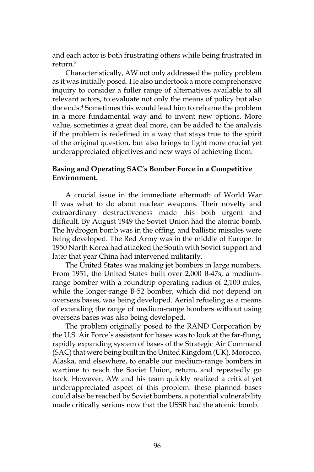and each actor is both frustrating others while being frustrated in return.3

Characteristically, AW not only addressed the policy problem as it was initially posed. He also undertook a more comprehensive inquiry to consider a fuller range of alternatives available to all relevant actors, to evaluate not only the means of policy but also the ends.4 Sometimes this would lead him to reframe the problem in a more fundamental way and to invent new options. More value, sometimes a great deal more, can be added to the analysis if the problem is redefined in a way that stays true to the spirit of the original question, but also brings to light more crucial yet underappreciated objectives and new ways of achieving them.

# **Basing and Operating SAC's Bomber Force in a Competitive Environment.**

A crucial issue in the immediate aftermath of World War II was what to do about nuclear weapons. Their novelty and extraordinary destructiveness made this both urgent and difficult. By August 1949 the Soviet Union had the atomic bomb. The hydrogen bomb was in the offing, and ballistic missiles were being developed. The Red Army was in the middle of Europe. In 1950 North Korea had attacked the South with Soviet support and later that year China had intervened militarily.

The United States was making jet bombers in large numbers. From 1951, the United States built over 2,000 B-47s, a mediumrange bomber with a roundtrip operating radius of 2,100 miles, while the longer-range B-52 bomber, which did not depend on overseas bases, was being developed. Aerial refueling as a means of extending the range of medium-range bombers without using overseas bases was also being developed.

The problem originally posed to the RAND Corporation by the U.S. Air Force's assistant for bases was to look at the far-flung, rapidly expanding system of bases of the Strategic Air Command (SAC) that were being built in the United Kingdom (UK), Morocco, Alaska, and elsewhere, to enable our medium-range bombers in wartime to reach the Soviet Union, return, and repeatedly go back. However, AW and his team quickly realized a critical yet underappreciated aspect of this problem: these planned bases could also be reached by Soviet bombers, a potential vulnerability made critically serious now that the USSR had the atomic bomb.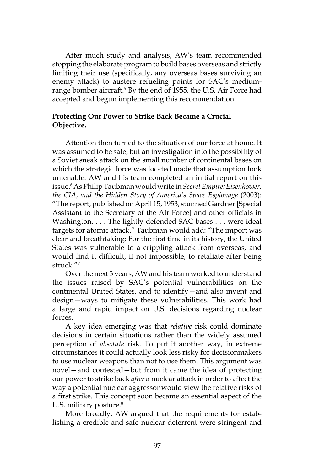After much study and analysis, AW's team recommended stopping the elaborate program to build bases overseas and strictly limiting their use (specifically, any overseas bases surviving an enemy attack) to austere refueling points for SAC's mediumrange bomber aircraft.<sup>5</sup> By the end of 1955, the U.S. Air Force had accepted and begun implementing this recommendation.

# **Protecting Our Power to Strike Back Became a Crucial Objective.**

Attention then turned to the situation of our force at home. It was assumed to be safe, but an investigation into the possibility of a Soviet sneak attack on the small number of continental bases on which the strategic force was located made that assumption look untenable. AW and his team completed an initial report on this issue.6 As Philip Taubman would write in *Secret Empire: Eisenhower, the CIA, and the Hidden Story of America's Space Espionage* (2003): "The report, published on April 15, 1953, stunned Gardner [Special Assistant to the Secretary of the Air Force] and other officials in Washington. . . . The lightly defended SAC bases . . . were ideal targets for atomic attack." Taubman would add: "The import was clear and breathtaking: For the first time in its history, the United States was vulnerable to a crippling attack from overseas, and would find it difficult, if not impossible, to retaliate after being struck."7

Over the next 3 years, AW and his team worked to understand the issues raised by SAC's potential vulnerabilities on the continental United States, and to identify—and also invent and design—ways to mitigate these vulnerabilities. This work had a large and rapid impact on U.S. decisions regarding nuclear forces.

A key idea emerging was that *relative* risk could dominate decisions in certain situations rather than the widely assumed perception of *absolute* risk. To put it another way, in extreme circumstances it could actually look less risky for decisionmakers to use nuclear weapons than not to use them. This argument was novel—and contested—but from it came the idea of protecting our power to strike back *after* a nuclear attack in order to affect the way a potential nuclear aggressor would view the relative risks of a first strike. This concept soon became an essential aspect of the U.S. military posture.<sup>8</sup>

More broadly, AW argued that the requirements for establishing a credible and safe nuclear deterrent were stringent and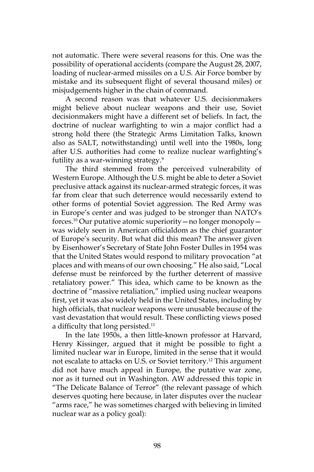not automatic. There were several reasons for this. One was the possibility of operational accidents (compare the August 28, 2007, loading of nuclear-armed missiles on a U.S. Air Force bomber by mistake and its subsequent flight of several thousand miles) or misjudgements higher in the chain of command.

A second reason was that whatever U.S. decisionmakers might believe about nuclear weapons and their use, Soviet decisionmakers might have a different set of beliefs. In fact, the doctrine of nuclear warfighting to win a major conflict had a strong hold there (the Strategic Arms Limitation Talks, known also as SALT, notwithstanding) until well into the 1980s, long after U.S. authorities had come to realize nuclear warfighting's futility as a war-winning strategy.9

The third stemmed from the perceived vulnerability of Western Europe. Although the U.S. might be able to deter a Soviet preclusive attack against its nuclear-armed strategic forces, it was far from clear that such deterrence would necessarily extend to other forms of potential Soviet aggression. The Red Army was in Europe's center and was judged to be stronger than NATO's forces.10 Our putative atomic superiority—no longer monopoly was widely seen in American officialdom as the chief guarantor of Europe's security. But what did this mean? The answer given by Eisenhower's Secretary of State John Foster Dulles in 1954 was that the United States would respond to military provocation "at places and with means of our own choosing." He also said, "Local defense must be reinforced by the further deterrent of massive retaliatory power." This idea, which came to be known as the doctrine of "massive retaliation," implied using nuclear weapons first, yet it was also widely held in the United States, including by high officials, that nuclear weapons were unusable because of the vast devastation that would result. These conflicting views posed a difficulty that long persisted.<sup>11</sup>

In the late 1950s, a then little-known professor at Harvard, Henry Kissinger, argued that it might be possible to fight a limited nuclear war in Europe, limited in the sense that it would not escalate to attacks on U.S. or Soviet territory.<sup>12</sup> This argument did not have much appeal in Europe, the putative war zone, nor as it turned out in Washington. AW addressed this topic in "The Delicate Balance of Terror" (the relevant passage of which deserves quoting here because, in later disputes over the nuclear "arms race," he was sometimes charged with believing in limited nuclear war as a policy goal):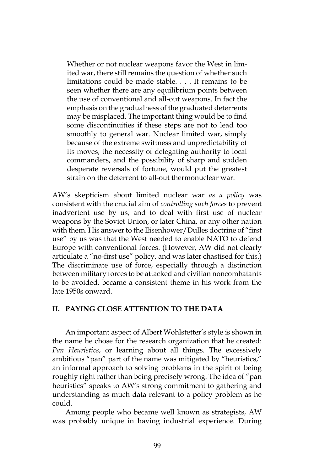Whether or not nuclear weapons favor the West in limited war, there still remains the question of whether such limitations could be made stable. . . . It remains to be seen whether there are any equilibrium points between the use of conventional and all-out weapons. In fact the emphasis on the gradualness of the graduated deterrents may be misplaced. The important thing would be to find some discontinuities if these steps are not to lead too smoothly to general war. Nuclear limited war, simply because of the extreme swiftness and unpredictability of its moves, the necessity of delegating authority to local commanders, and the possibility of sharp and sudden desperate reversals of fortune, would put the greatest strain on the deterrent to all-out thermonuclear war.

AW's skepticism about limited nuclear war *as a policy* was consistent with the crucial aim of *controlling such forces* to prevent inadvertent use by us, and to deal with first use of nuclear weapons by the Soviet Union, or later China, or any other nation with them. His answer to the Eisenhower/Dulles doctrine of "first use" by us was that the West needed to enable NATO to defend Europe with conventional forces. (However, AW did not clearly articulate a "no-first use" policy, and was later chastised for this.) The discriminate use of force, especially through a distinction between military forces to be attacked and civilian noncombatants to be avoided, became a consistent theme in his work from the late 1950s onward.

## **II. PAYING CLOSE ATTENTION TO THE DATA**

An important aspect of Albert Wohlstetter's style is shown in the name he chose for the research organization that he created: *Pan Heuristics*, or learning about all things. The excessively ambitious "pan" part of the name was mitigated by "heuristics," an informal approach to solving problems in the spirit of being roughly right rather than being precisely wrong. The idea of "pan heuristics" speaks to AW's strong commitment to gathering and understanding as much data relevant to a policy problem as he could.

Among people who became well known as strategists, AW was probably unique in having industrial experience. During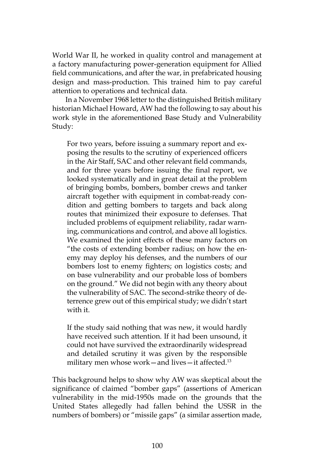World War II, he worked in quality control and management at a factory manufacturing power-generation equipment for Allied field communications, and after the war, in prefabricated housing design and mass-production. This trained him to pay careful attention to operations and technical data.

In a November 1968 letter to the distinguished British military historian Michael Howard, AW had the following to say about his work style in the aforementioned Base Study and Vulnerability Study:

For two years, before issuing a summary report and exposing the results to the scrutiny of experienced officers in the Air Staff, SAC and other relevant field commands, and for three years before issuing the final report, we looked systematically and in great detail at the problem of bringing bombs, bombers, bomber crews and tanker aircraft together with equipment in combat-ready condition and getting bombers to targets and back along routes that minimized their exposure to defenses. That included problems of equipment reliability, radar warning, communications and control, and above all logistics. We examined the joint effects of these many factors on "the costs of extending bomber radius; on how the enemy may deploy his defenses, and the numbers of our bombers lost to enemy fighters; on logistics costs; and on base vulnerability and our probable loss of bombers on the ground." We did not begin with any theory about the vulnerability of SAC. The second-strike theory of deterrence grew out of this empirical study; we didn't start with it.

If the study said nothing that was new, it would hardly have received such attention. If it had been unsound, it could not have survived the extraordinarily widespread and detailed scrutiny it was given by the responsible military men whose work—and lives—it affected.<sup>13</sup>

This background helps to show why AW was skeptical about the significance of claimed "bomber gaps" (assertions of American vulnerability in the mid-1950s made on the grounds that the United States allegedly had fallen behind the USSR in the numbers of bombers) or "missile gaps" (a similar assertion made,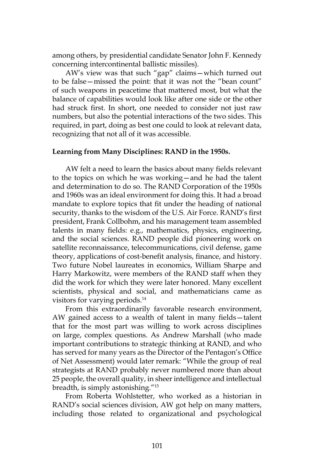among others, by presidential candidate Senator John F. Kennedy concerning intercontinental ballistic missiles).

AW's view was that such "gap" claims—which turned out to be false—missed the point: that it was not the "bean count" of such weapons in peacetime that mattered most, but what the balance of capabilities would look like after one side or the other had struck first. In short, one needed to consider not just raw numbers, but also the potential interactions of the two sides. This required, in part, doing as best one could to look at relevant data, recognizing that not all of it was accessible.

## **Learning from Many Disciplines: RAND in the 1950s.**

AW felt a need to learn the basics about many fields relevant to the topics on which he was working—and he had the talent and determination to do so. The RAND Corporation of the 1950s and 1960s was an ideal environment for doing this. It had a broad mandate to explore topics that fit under the heading of national security, thanks to the wisdom of the U.S. Air Force. RAND's first president, Frank Collbohm, and his management team assembled talents in many fields: e.g., mathematics, physics, engineering, and the social sciences. RAND people did pioneering work on satellite reconnaissance, telecommunications, civil defense, game theory, applications of cost-benefit analysis, finance, and history. Two future Nobel laureates in economics, William Sharpe and Harry Markowitz, were members of the RAND staff when they did the work for which they were later honored. Many excellent scientists, physical and social, and mathematicians came as visitors for varying periods.14

From this extraordinarily favorable research environment, AW gained access to a wealth of talent in many fields—talent that for the most part was willing to work across disciplines on large, complex questions. As Andrew Marshall (who made important contributions to strategic thinking at RAND, and who has served for many years as the Director of the Pentagon's Office of Net Assessment) would later remark: "While the group of real strategists at RAND probably never numbered more than about 25 people, the overall quality, in sheer intelligence and intellectual breadth, is simply astonishing."15

From Roberta Wohlstetter, who worked as a historian in RAND's social sciences division, AW got help on many matters, including those related to organizational and psychological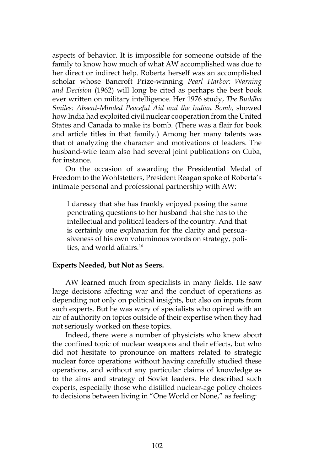aspects of behavior. It is impossible for someone outside of the family to know how much of what AW accomplished was due to her direct or indirect help. Roberta herself was an accomplished scholar whose Bancroft Prize-winning *Pearl Harbor: Warning and Decision* (1962) will long be cited as perhaps the best book ever written on military intelligence. Her 1976 study, *The Buddha Smiles: Absent-Minded Peaceful Aid and the Indian Bomb*, showed how India had exploited civil nuclear cooperation from the United States and Canada to make its bomb. (There was a flair for book and article titles in that family.) Among her many talents was that of analyzing the character and motivations of leaders. The husband-wife team also had several joint publications on Cuba, for instance.

On the occasion of awarding the Presidential Medal of Freedom to the Wohlstetters, President Reagan spoke of Roberta's intimate personal and professional partnership with AW:

I daresay that she has frankly enjoyed posing the same penetrating questions to her husband that she has to the intellectual and political leaders of the country. And that is certainly one explanation for the clarity and persuasiveness of his own voluminous words on strategy, politics, and world affairs.<sup>16</sup>

## **Experts Needed, but Not as Seers.**

AW learned much from specialists in many fields. He saw large decisions affecting war and the conduct of operations as depending not only on political insights, but also on inputs from such experts. But he was wary of specialists who opined with an air of authority on topics outside of their expertise when they had not seriously worked on these topics.

Indeed, there were a number of physicists who knew about the confined topic of nuclear weapons and their effects, but who did not hesitate to pronounce on matters related to strategic nuclear force operations without having carefully studied these operations, and without any particular claims of knowledge as to the aims and strategy of Soviet leaders. He described such experts, especially those who distilled nuclear-age policy choices to decisions between living in "One World or None," as feeling: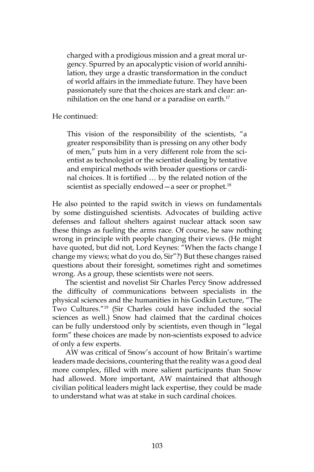charged with a prodigious mission and a great moral urgency. Spurred by an apocalyptic vision of world annihilation, they urge a drastic transformation in the conduct of world affairs in the immediate future. They have been passionately sure that the choices are stark and clear: annihilation on the one hand or a paradise on earth.<sup>17</sup>

He continued:

This vision of the responsibility of the scientists, "a greater responsibility than is pressing on any other body of men," puts him in a very different role from the scientist as technologist or the scientist dealing by tentative and empirical methods with broader questions or cardinal choices. It is fortified … by the related notion of the scientist as specially endowed  $-$  a seer or prophet.<sup>18</sup>

He also pointed to the rapid switch in views on fundamentals by some distinguished scientists. Advocates of building active defenses and fallout shelters against nuclear attack soon saw these things as fueling the arms race. Of course, he saw nothing wrong in principle with people changing their views. (He might have quoted, but did not, Lord Keynes: "When the facts change I change my views; what do you do, Sir"?) But these changes raised questions about their foresight, sometimes right and sometimes wrong. As a group, these scientists were not seers.

The scientist and novelist Sir Charles Percy Snow addressed the difficulty of communications between specialists in the physical sciences and the humanities in his Godkin Lecture, "The Two Cultures."19 (Sir Charles could have included the social sciences as well.) Snow had claimed that the cardinal choices can be fully understood only by scientists, even though in "legal form" these choices are made by non-scientists exposed to advice of only a few experts.

AW was critical of Snow's account of how Britain's wartime leaders made decisions, countering that the reality was a good deal more complex, filled with more salient participants than Snow had allowed. More important, AW maintained that although civilian political leaders might lack expertise, they could be made to understand what was at stake in such cardinal choices.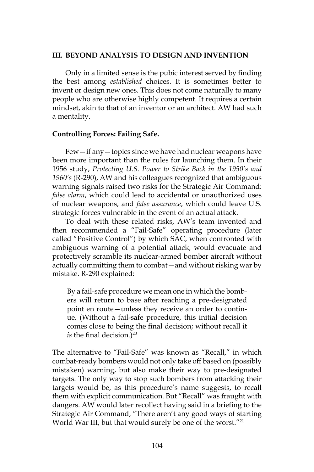#### **III. BEYOND ANALYSIS TO DESIGN AND INVENTION**

Only in a limited sense is the pubic interest served by finding the best among *established* choices. It is sometimes better to invent or design new ones. This does not come naturally to many people who are otherwise highly competent. It requires a certain mindset, akin to that of an inventor or an architect. AW had such a mentality.

#### **Controlling Forces: Failing Safe.**

Few—if any—topics since we have had nuclear weapons have been more important than the rules for launching them. In their 1956 study, *Protecting U.S. Power to Strike Back in the 1950's and 1960's* (R-290), AW and his colleagues recognized that ambiguous warning signals raised two risks for the Strategic Air Command: *false alarm*, which could lead to accidental or unauthorized uses of nuclear weapons, and *false assurance*, which could leave U.S. strategic forces vulnerable in the event of an actual attack.

To deal with these related risks, AW's team invented and then recommended a "Fail-Safe" operating procedure (later called "Positive Control") by which SAC, when confronted with ambiguous warning of a potential attack, would evacuate and protectively scramble its nuclear-armed bomber aircraft without actually committing them to combat—and without risking war by mistake. R-290 explained:

By a fail-safe procedure we mean one in which the bombers will return to base after reaching a pre-designated point en route—unless they receive an order to continue. (Without a fail-safe procedure, this initial decision comes close to being the final decision; without recall it *is* the final decision.)<sup>20</sup>

The alternative to "Fail-Safe" was known as "Recall," in which combat-ready bombers would not only take off based on (possibly mistaken) warning, but also make their way to pre-designated targets. The only way to stop such bombers from attacking their targets would be, as this procedure's name suggests, to recall them with explicit communication. But "Recall" was fraught with dangers. AW would later recollect having said in a briefing to the Strategic Air Command, "There aren't any good ways of starting World War III, but that would surely be one of the worst."<sup>21</sup>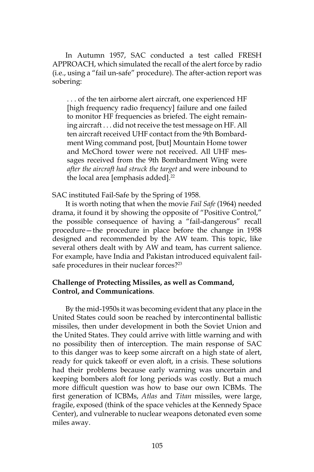In Autumn 1957, SAC conducted a test called FRESH APPROACH, which simulated the recall of the alert force by radio (i.e., using a "fail un-safe" procedure). The after-action report was sobering:

. . . of the ten airborne alert aircraft, one experienced HF [high frequency radio frequency] failure and one failed to monitor HF frequencies as briefed. The eight remaining aircraft . . . did not receive the test message on HF. All ten aircraft received UHF contact from the 9th Bombardment Wing command post, [but] Mountain Home tower and McChord tower were not received. All UHF messages received from the 9th Bombardment Wing were *after the aircraft had struck the target* and were inbound to the local area [emphasis added].<sup>22</sup>

SAC instituted Fail-Safe by the Spring of 1958.

It is worth noting that when the movie *Fail Safe* (1964) needed drama, it found it by showing the opposite of "Positive Control," the possible consequence of having a "fail-dangerous" recall procedure—the procedure in place before the change in 1958 designed and recommended by the AW team. This topic, like several others dealt with by AW and team, has current salience. For example, have India and Pakistan introduced equivalent failsafe procedures in their nuclear forces?<sup>23</sup>

# **Challenge of Protecting Missiles, as well as Command, Control, and Communications**.

By the mid-1950s it was becoming evident that any place in the United States could soon be reached by intercontinental ballistic missiles, then under development in both the Soviet Union and the United States. They could arrive with little warning and with no possibility then of interception. The main response of SAC to this danger was to keep some aircraft on a high state of alert, ready for quick takeoff or even aloft, in a crisis. These solutions had their problems because early warning was uncertain and keeping bombers aloft for long periods was costly. But a much more difficult question was how to base our own ICBMs. The first generation of ICBMs, *Atlas* and *Titan* missiles, were large, fragile, exposed (think of the space vehicles at the Kennedy Space Center), and vulnerable to nuclear weapons detonated even some miles away.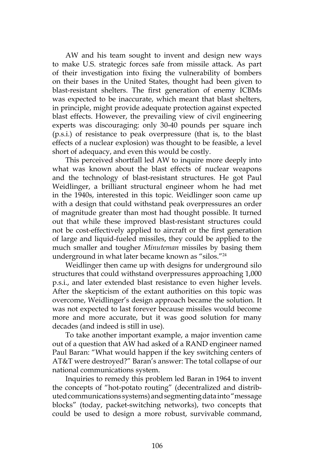AW and his team sought to invent and design new ways to make U.S. strategic forces safe from missile attack. As part of their investigation into fixing the vulnerability of bombers on their bases in the United States, thought had been given to blast-resistant shelters. The first generation of enemy ICBMs was expected to be inaccurate, which meant that blast shelters, in principle, might provide adequate protection against expected blast effects. However, the prevailing view of civil engineering experts was discouraging: only 30-40 pounds per square inch (p.s.i.) of resistance to peak overpressure (that is, to the blast effects of a nuclear explosion) was thought to be feasible, a level short of adequacy, and even this would be costly.

This perceived shortfall led AW to inquire more deeply into what was known about the blast effects of nuclear weapons and the technology of blast-resistant structures. He got Paul Weidlinger, a brilliant structural engineer whom he had met in the 1940s, interested in this topic. Weidlinger soon came up with a design that could withstand peak overpressures an order of magnitude greater than most had thought possible. It turned out that while these improved blast-resistant structures could not be cost-effectively applied to aircraft or the first generation of large and liquid-fueled missiles, they could be applied to the much smaller and tougher *Minuteman* missiles by basing them underground in what later became known as "silos."24

Weidlinger then came up with designs for underground silo structures that could withstand overpressures approaching 1,000 p.s.i., and later extended blast resistance to even higher levels. After the skepticism of the extant authorities on this topic was overcome, Weidlinger's design approach became the solution. It was not expected to last forever because missiles would become more and more accurate, but it was good solution for many decades (and indeed is still in use).

To take another important example, a major invention came out of a question that AW had asked of a RAND engineer named Paul Baran: "What would happen if the key switching centers of AT&T were destroyed?" Baran's answer: The total collapse of our national communications system.

Inquiries to remedy this problem led Baran in 1964 to invent the concepts of "hot-potato routing" (decentralized and distributed communications systems) and segmenting data into "message blocks" (today, packet-switching networks), two concepts that could be used to design a more robust, survivable command,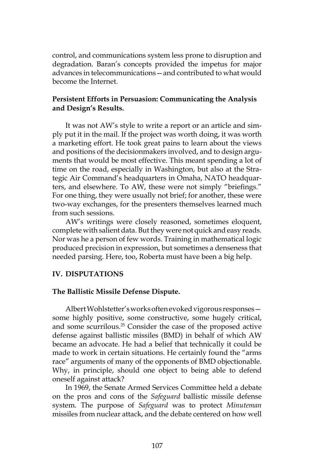control, and communications system less prone to disruption and degradation. Baran's concepts provided the impetus for major advances in telecommunications—and contributed to what would become the Internet.

# **Persistent Efforts in Persuasion: Communicating the Analysis and Design's Results.**

It was not AW's style to write a report or an article and simply put it in the mail. If the project was worth doing, it was worth a marketing effort. He took great pains to learn about the views and positions of the decisionmakers involved, and to design arguments that would be most effective. This meant spending a lot of time on the road, especially in Washington, but also at the Strategic Air Command's headquarters in Omaha, NATO headquarters, and elsewhere. To AW, these were not simply "briefings." For one thing, they were usually not brief; for another, these were two-way exchanges, for the presenters themselves learned much from such sessions.

AW's writings were closely reasoned, sometimes eloquent, complete with salient data. But they were not quick and easy reads. Nor was he a person of few words. Training in mathematical logic produced precision in expression, but sometimes a denseness that needed parsing. Here, too, Roberta must have been a big help.

# **IV. DISPUTATIONS**

## **The Ballistic Missile Defense Dispute.**

Albert Wohlstetter's works often evoked vigorous responses some highly positive, some constructive, some hugely critical, and some scurrilous.25 Consider the case of the proposed active defense against ballistic missiles (BMD) in behalf of which AW became an advocate. He had a belief that technically it could be made to work in certain situations. He certainly found the "arms race" arguments of many of the opponents of BMD objectionable. Why, in principle, should one object to being able to defend oneself against attack?

In 1969, the Senate Armed Services Committee held a debate on the pros and cons of the *Safeguard* ballistic missile defense system. The purpose of *Safeguard* was to protect *Minuteman*  missiles from nuclear attack, and the debate centered on how well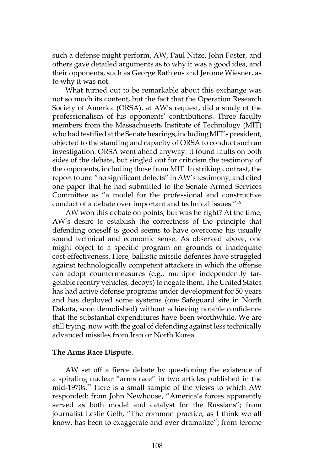such a defense might perform. AW, Paul Nitze, John Foster, and others gave detailed arguments as to why it was a good idea, and their opponents, such as George Rathjens and Jerome Wiesner, as to why it was not.

What turned out to be remarkable about this exchange was not so much its content, but the fact that the Operation Research Society of America (ORSA), at AW's request, did a study of the professionalism of his opponents' contributions. Three faculty members from the Massachusetts Institute of Technology (MIT) who had testified at the Senate hearings, including MIT's president, objected to the standing and capacity of ORSA to conduct such an investigation. ORSA went ahead anyway. It found faults on both sides of the debate, but singled out for criticism the testimony of the opponents, including those from MIT. In striking contrast, the report found "no significant defects" in AW's testimony, and cited one paper that he had submitted to the Senate Armed Services Committee as "a model for the professional and constructive conduct of a debate over important and technical issues."26

AW won this debate on points, but was he right? At the time, AW's desire to establish the correctness of the principle that defending oneself is good seems to have overcome his usually sound technical and economic sense. As observed above, one might object to a specific program on grounds of inadequate cost-effectiveness. Here, ballistic missile defenses have struggled against technologically competent attackers in which the offense can adopt countermeasures (e.g., multiple independently targetable reentry vehicles, decoys) to negate them. The United States has had active defense programs under development for 50 years and has deployed some systems (one Safeguard site in North Dakota, soon demolished) without achieving notable confidence that the substantial expenditures have been worthwhile. We are still trying, now with the goal of defending against less technically advanced missiles from Iran or North Korea.

## **The Arms Race Dispute.**

AW set off a fierce debate by questioning the existence of a spiraling nuclear "arms race" in two articles published in the mid-1970s.<sup>27</sup> Here is a small sample of the views to which AW responded: from John Newhouse, "America's forces apparently served as both model and catalyst for the Russians"; from journalist Leslie Gelb, "The common practice, as I think we all know, has been to exaggerate and over dramatize"; from Jerome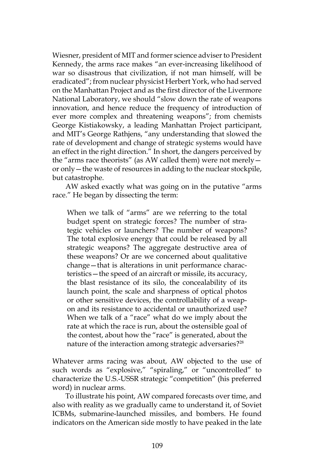Wiesner, president of MIT and former science adviser to President Kennedy, the arms race makes "an ever-increasing likelihood of war so disastrous that civilization, if not man himself, will be eradicated"; from nuclear physicist Herbert York, who had served on the Manhattan Project and as the first director of the Livermore National Laboratory, we should "slow down the rate of weapons innovation, and hence reduce the frequency of introduction of ever more complex and threatening weapons"; from chemists George Kistiakowsky, a leading Manhattan Project participant, and MIT's George Rathjens, "any understanding that slowed the rate of development and change of strategic systems would have an effect in the right direction." In short, the dangers perceived by the "arms race theorists" (as AW called them) were not merely or only—the waste of resources in adding to the nuclear stockpile, but catastrophe.

AW asked exactly what was going on in the putative "arms race." He began by dissecting the term:

When we talk of "arms" are we referring to the total budget spent on strategic forces? The number of strategic vehicles or launchers? The number of weapons? The total explosive energy that could be released by all strategic weapons? The aggregate destructive area of these weapons? Or are we concerned about qualitative change—that is alterations in unit performance characteristics—the speed of an aircraft or missile, its accuracy, the blast resistance of its silo, the concealability of its launch point, the scale and sharpness of optical photos or other sensitive devices, the controllability of a weapon and its resistance to accidental or unauthorized use? When we talk of a "race" what do we imply about the rate at which the race is run, about the ostensible goal of the contest, about how the "race" is generated, about the nature of the interaction among strategic adversaries?<sup>28</sup>

Whatever arms racing was about, AW objected to the use of such words as "explosive," "spiraling," or "uncontrolled" to characterize the U.S.-USSR strategic "competition" (his preferred word) in nuclear arms.

To illustrate his point, AW compared forecasts over time, and also with reality as we gradually came to understand it, of Soviet ICBMs, submarine-launched missiles, and bombers. He found indicators on the American side mostly to have peaked in the late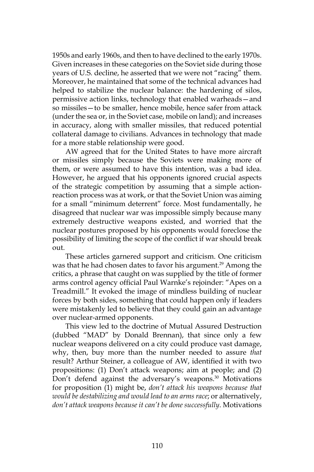1950s and early 1960s, and then to have declined to the early 1970s. Given increases in these categories on the Soviet side during those years of U.S. decline, he asserted that we were not "racing" them. Moreover, he maintained that some of the technical advances had helped to stabilize the nuclear balance: the hardening of silos, permissive action links, technology that enabled warheads—and so missiles—to be smaller, hence mobile, hence safer from attack (under the sea or, in the Soviet case, mobile on land); and increases in accuracy, along with smaller missiles, that reduced potential collateral damage to civilians. Advances in technology that made for a more stable relationship were good.

AW agreed that for the United States to have more aircraft or missiles simply because the Soviets were making more of them, or were assumed to have this intention, was a bad idea. However, he argued that his opponents ignored crucial aspects of the strategic competition by assuming that a simple actionreaction process was at work, or that the Soviet Union was aiming for a small "minimum deterrent" force. Most fundamentally, he disagreed that nuclear war was impossible simply because many extremely destructive weapons existed, and worried that the nuclear postures proposed by his opponents would foreclose the possibility of limiting the scope of the conflict if war should break out.

These articles garnered support and criticism. One criticism was that he had chosen dates to favor his argument.<sup>29</sup> Among the critics, a phrase that caught on was supplied by the title of former arms control agency official Paul Warnke's rejoinder: "Apes on a Treadmill." It evoked the image of mindless building of nuclear forces by both sides, something that could happen only if leaders were mistakenly led to believe that they could gain an advantage over nuclear-armed opponents.

This view led to the doctrine of Mutual Assured Destruction (dubbed "MAD" by Donald Brennan), that since only a few nuclear weapons delivered on a city could produce vast damage, why, then, buy more than the number needed to assure *that* result? Arthur Steiner, a colleague of AW, identified it with two propositions: (1) Don't attack weapons; aim at people; and (2) Don't defend against the adversary's weapons.<sup>30</sup> Motivations for proposition (1) might be, *don't attack his weapons because that would be destabilizing and would lead to an arms race*; or alternatively, *don't attack weapons because it can't be done successfully*. Motivations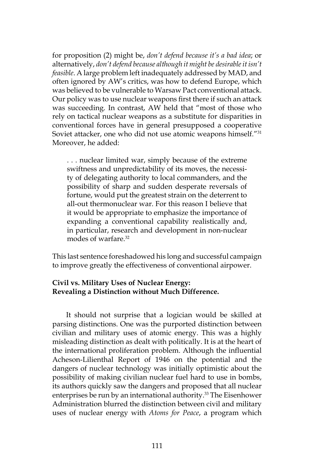for proposition (2) might be, *don't defend because it's a bad idea*; or alternatively, *don't defend because although it might be desirable it isn't feasible*. A large problem left inadequately addressed by MAD, and often ignored by AW's critics, was how to defend Europe, which was believed to be vulnerable to Warsaw Pact conventional attack. Our policy was to use nuclear weapons first there if such an attack was succeeding. In contrast, AW held that "most of those who rely on tactical nuclear weapons as a substitute for disparities in conventional forces have in general presupposed a cooperative Soviet attacker, one who did not use atomic weapons himself."<sup>31</sup> Moreover, he added:

. . . nuclear limited war, simply because of the extreme swiftness and unpredictability of its moves, the necessity of delegating authority to local commanders, and the possibility of sharp and sudden desperate reversals of fortune, would put the greatest strain on the deterrent to all-out thermonuclear war. For this reason I believe that it would be appropriate to emphasize the importance of expanding a conventional capability realistically and, in particular, research and development in non-nuclear modes of warfare.32

This last sentence foreshadowed his long and successful campaign to improve greatly the effectiveness of conventional airpower.

# **Civil vs. Military Uses of Nuclear Energy: Revealing a Distinction without Much Difference.**

It should not surprise that a logician would be skilled at parsing distinctions. One was the purported distinction between civilian and military uses of atomic energy. This was a highly misleading distinction as dealt with politically. It is at the heart of the international proliferation problem. Although the influential Acheson-Lilienthal Report of 1946 on the potential and the dangers of nuclear technology was initially optimistic about the possibility of making civilian nuclear fuel hard to use in bombs, its authors quickly saw the dangers and proposed that all nuclear enterprises be run by an international authority.<sup>33</sup> The Eisenhower Administration blurred the distinction between civil and military uses of nuclear energy with *Atoms for Peace*, a program which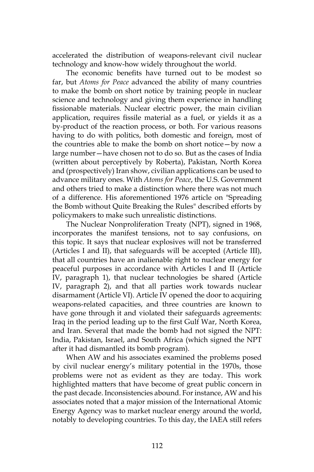accelerated the distribution of weapons-relevant civil nuclear technology and know-how widely throughout the world.

The economic benefits have turned out to be modest so far, but *Atoms for Peace* advanced the ability of many countries to make the bomb on short notice by training people in nuclear science and technology and giving them experience in handling fissionable materials. Nuclear electric power, the main civilian application, requires fissile material as a fuel, or yields it as a by-product of the reaction process, or both. For various reasons having to do with politics, both domestic and foreign, most of the countries able to make the bomb on short notice—by now a large number—have chosen not to do so. But as the cases of India (written about perceptively by Roberta), Pakistan, North Korea and (prospectively) Iran show, civilian applications can be used to advance military ones. With *Atoms for Peace*, the U.S. Government and others tried to make a distinction where there was not much of a difference. His aforementioned 1976 article on "Spreading the Bomb without Quite Breaking the Rules" described efforts by policymakers to make such unrealistic distinctions.

The Nuclear Nonproliferation Treaty (NPT), signed in 1968, incorporates the manifest tensions, not to say confusions, on this topic. It says that nuclear explosives will not be transferred (Articles I and II), that safeguards will be accepted (Article III), that all countries have an inalienable right to nuclear energy for peaceful purposes in accordance with Articles I and II (Article IV, paragraph 1), that nuclear technologies be shared (Article IV, paragraph 2), and that all parties work towards nuclear disarmament (Article VI). Article IV opened the door to acquiring weapons-related capacities, and three countries are known to have gone through it and violated their safeguards agreements: Iraq in the period leading up to the first Gulf War, North Korea, and Iran. Several that made the bomb had not signed the NPT: India, Pakistan, Israel, and South Africa (which signed the NPT after it had dismantled its bomb program).

When AW and his associates examined the problems posed by civil nuclear energy's military potential in the 1970s, those problems were not as evident as they are today. This work highlighted matters that have become of great public concern in the past decade. Inconsistencies abound. For instance, AW and his associates noted that a major mission of the International Atomic Energy Agency was to market nuclear energy around the world, notably to developing countries. To this day, the IAEA still refers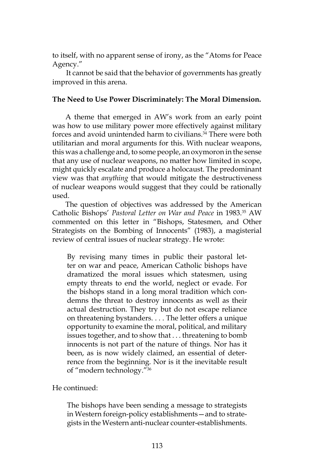to itself, with no apparent sense of irony, as the "Atoms for Peace Agency."

It cannot be said that the behavior of governments has greatly improved in this arena.

# **The Need to Use Power Discriminately: The Moral Dimension.**

A theme that emerged in AW's work from an early point was how to use military power more effectively against military forces and avoid unintended harm to civilians.<sup>34</sup> There were both utilitarian and moral arguments for this. With nuclear weapons, this was a challenge and, to some people, an oxymoron in the sense that any use of nuclear weapons, no matter how limited in scope, might quickly escalate and produce a holocaust. The predominant view was that *anything* that would mitigate the destructiveness of nuclear weapons would suggest that they could be rationally used.

The question of objectives was addressed by the American Catholic Bishops' *Pastoral Letter on War and Peace* in 1983.35 AW commented on this letter in "Bishops, Statesmen, and Other Strategists on the Bombing of Innocents" (1983), a magisterial review of central issues of nuclear strategy. He wrote:

By revising many times in public their pastoral letter on war and peace, American Catholic bishops have dramatized the moral issues which statesmen, using empty threats to end the world, neglect or evade. For the bishops stand in a long moral tradition which condemns the threat to destroy innocents as well as their actual destruction. They try but do not escape reliance on threatening bystanders. . . . The letter offers a unique opportunity to examine the moral, political, and military issues together, and to show that . . . threatening to bomb innocents is not part of the nature of things. Nor has it been, as is now widely claimed, an essential of deterrence from the beginning. Nor is it the inevitable result of "modern technology."36

He continued:

The bishops have been sending a message to strategists in Western foreign-policy establishments—and to strategists in the Western anti-nuclear counter-establishments.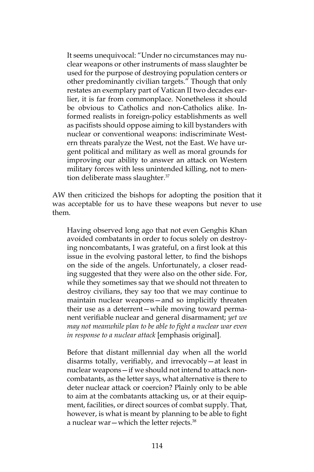It seems unequivocal: "Under no circumstances may nuclear weapons or other instruments of mass slaughter be used for the purpose of destroying population centers or other predominantly civilian targets." Though that only restates an exemplary part of Vatican II two decades earlier, it is far from commonplace. Nonetheless it should be obvious to Catholics and non-Catholics alike. Informed realists in foreign-policy establishments as well as pacifists should oppose aiming to kill bystanders with nuclear or conventional weapons: indiscriminate Western threats paralyze the West, not the East. We have urgent political and military as well as moral grounds for improving our ability to answer an attack on Western military forces with less unintended killing, not to mention deliberate mass slaughter.<sup>37</sup>

AW then criticized the bishops for adopting the position that it was acceptable for us to have these weapons but never to use them.

Having observed long ago that not even Genghis Khan avoided combatants in order to focus solely on destroying noncombatants, I was grateful, on a first look at this issue in the evolving pastoral letter, to find the bishops on the side of the angels. Unfortunately, a closer reading suggested that they were also on the other side. For, while they sometimes say that we should not threaten to destroy civilians, they say too that we may continue to maintain nuclear weapons—and so implicitly threaten their use as a deterrent—while moving toward permanent verifiable nuclear and general disarmament; *yet we may not meanwhile plan to be able to fight a nuclear war even in response to a nuclear attack* [emphasis original]*.*

Before that distant millennial day when all the world disarms totally, verifiably, and irrevocably—at least in nuclear weapons—if we should not intend to attack noncombatants, as the letter says, what alternative is there to deter nuclear attack or coercion? Plainly only to be able to aim at the combatants attacking us, or at their equipment, facilities, or direct sources of combat supply. That, however, is what is meant by planning to be able to fight a nuclear war – which the letter rejects.<sup>38</sup>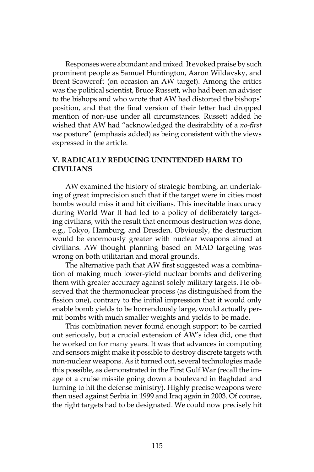Responses were abundant and mixed. It evoked praise by such prominent people as Samuel Huntington, Aaron Wildavsky, and Brent Scowcroft (on occasion an AW target). Among the critics was the political scientist, Bruce Russett, who had been an adviser to the bishops and who wrote that AW had distorted the bishops' position, and that the final version of their letter had dropped mention of non-use under all circumstances. Russett added he wished that AW had "acknowledged the desirability of a *no-first use* posture" (emphasis added) as being consistent with the views expressed in the article.

## **V. RADICALLY REDUCING UNINTENDED HARM TO CIVILIANS**

AW examined the history of strategic bombing, an undertaking of great imprecision such that if the target were in cities most bombs would miss it and hit civilians. This inevitable inaccuracy during World War II had led to a policy of deliberately targeting civilians, with the result that enormous destruction was done, e.g., Tokyo, Hamburg, and Dresden. Obviously, the destruction would be enormously greater with nuclear weapons aimed at civilians. AW thought planning based on MAD targeting was wrong on both utilitarian and moral grounds.

The alternative path that AW first suggested was a combination of making much lower-yield nuclear bombs and delivering them with greater accuracy against solely military targets. He observed that the thermonuclear process (as distinguished from the fission one), contrary to the initial impression that it would only enable bomb yields to be horrendously large, would actually permit bombs with much smaller weights and yields to be made.

This combination never found enough support to be carried out seriously, but a crucial extension of AW's idea did, one that he worked on for many years. It was that advances in computing and sensors might make it possible to destroy discrete targets with non-nuclear weapons. As it turned out, several technologies made this possible, as demonstrated in the First Gulf War (recall the image of a cruise missile going down a boulevard in Baghdad and turning to hit the defense ministry). Highly precise weapons were then used against Serbia in 1999 and Iraq again in 2003. Of course, the right targets had to be designated. We could now precisely hit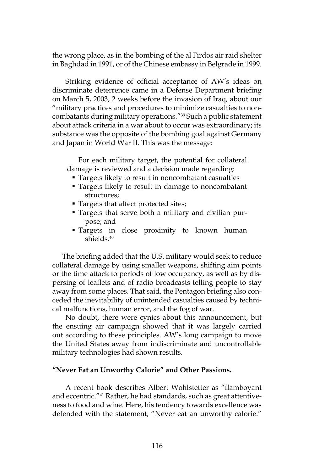the wrong place, as in the bombing of the al Firdos air raid shelter in Baghdad in 1991, or of the Chinese embassy in Belgrade in 1999.

Striking evidence of official acceptance of AW's ideas on discriminate deterrence came in a Defense Department briefing on March 5, 2003, 2 weeks before the invasion of Iraq, about our "military practices and procedures to minimize casualties to noncombatants during military operations."39 Such a public statement about attack criteria in a war about to occur was extraordinary; its substance was the opposite of the bombing goal against Germany and Japan in World War II. This was the message:

For each military target, the potential for collateral damage is reviewed and a decision made regarding:

- Targets likely to result in noncombatant casualties
- Targets likely to result in damage to noncombatant structures;
- Targets that affect protected sites;
- Targets that serve both a military and civilian purpose; and
- Targets in close proximity to known human shields.40

The briefing added that the U.S. military would seek to reduce collateral damage by using smaller weapons, shifting aim points or the time attack to periods of low occupancy, as well as by dispersing of leaflets and of radio broadcasts telling people to stay away from some places. That said, the Pentagon briefing also conceded the inevitability of unintended casualties caused by technical malfunctions, human error, and the fog of war.

No doubt, there were cynics about this announcement, but the ensuing air campaign showed that it was largely carried out according to these principles. AW's long campaign to move the United States away from indiscriminate and uncontrollable military technologies had shown results.

### **"Never Eat an Unworthy Calorie" and Other Passions.**

A recent book describes Albert Wohlstetter as "flamboyant and eccentric."41 Rather, he had standards, such as great attentiveness to food and wine. Here, his tendency towards excellence was defended with the statement, "Never eat an unworthy calorie."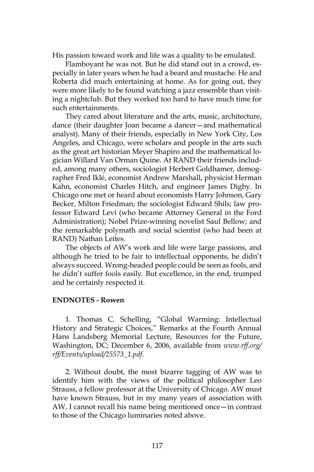His passion toward work and life was a quality to be emulated.

Flamboyant he was not. But he did stand out in a crowd, especially in later years when he had a beard and mustache. He and Roberta did much entertaining at home. As for going out, they were more likely to be found watching a jazz ensemble than visiting a nightclub. But they worked too hard to have much time for such entertainments.

They cared about literature and the arts, music, architecture, dance (their daughter Joan became a dancer—and mathematical analyst). Many of their friends, especially in New York City, Los Angeles, and Chicago, were scholars and people in the arts such as the great art historian Meyer Shapiro and the mathematical logician Willard Van Orman Quine. At RAND their friends included, among many others, sociologist Herbert Goldhamer, demographer Fred Iklé, economist Andrew Marshall, physicist Herman Kahn, economist Charles Hitch, and engineer James Digby. In Chicago one met or heard about economists Harry Johnson, Gary Becker, Milton Friedman; the sociologist Edward Shils; law professor Edward Levi (who became Attorney General in the Ford Administration); Nobel Prize-winning novelist Saul Bellow; and the remarkable polymath and social scientist (who had been at RAND) Nathan Leites.

The objects of AW's work and life were large passions, and although he tried to be fair to intellectual opponents, he didn't always succeed. Wrong-headed people could be seen as fools, and he didn't suffer fools easily. But excellence, in the end, trumped and he certainly respected it.

## **ENDNOTES - Rowen**

1. Thomas C. Schelling, "Global Warming: Intellectual History and Strategic Choices," Remarks at the Fourth Annual Hans Landsberg Memorial Lecture, Resources for the Future, Washington, DC; December 6, 2006, available from *www.rff.org/ rff/Events/upload/25573\_1.pdf*.

2. Without doubt, the most bizarre tagging of AW was to identify him with the views of the political philosopher Leo Strauss, a fellow professor at the University of Chicago. AW must have known Strauss, but in my many years of association with AW, I cannot recall his name being mentioned once—in contrast to those of the Chicago luminaries noted above.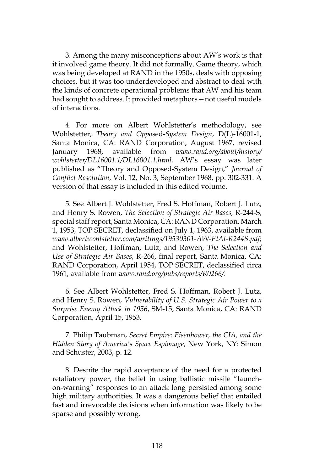3. Among the many misconceptions about AW's work is that it involved game theory. It did not formally. Game theory, which was being developed at RAND in the 1950s, deals with opposing choices, but it was too underdeveloped and abstract to deal with the kinds of concrete operational problems that AW and his team had sought to address. It provided metaphors—not useful models of interactions.

4. For more on Albert Wohlstetter's methodology, see Wohlstetter, *Theory and Oppos*ed*-System Design*, D(L)-16001-1, Santa Monica, CA: RAND Corporation, August 1967, revised January 1968, available from *www.rand.org/about/history/ wohlstetter/DL16001.1/DL16001.1.html.* AW's essay was later published as "Theory and Opposed-System Design," *Journal of Conflict Resolution*, Vol. 12, No. 3, September 1968, pp. 302-331. A version of that essay is included in this edited volume.

5. See Albert J. Wohlstetter, Fred S. Hoffman, Robert J. Lutz, and Henry S. Rowen, *The Selection of Strategic Air Bases,* R-244-S, special staff report, Santa Monica, CA: RAND Corporation, March 1, 1953, TOP SECRET, declassified on July 1, 1963, available from *www.albertwohlstetter.com/writings/19530301-AW-EtAl-R244S.pdf*; and Wohlstetter, Hoffman, Lutz, and Rowen, *The Selection and Use of Strategic Air Bases*, R-266, final report, Santa Monica, CA: RAND Corporation, April 1954, TOP SECRET, declassified circa 1961, available from *www.rand.org/pubs/reports/R0266/*.

6. See Albert Wohlstetter, Fred S. Hoffman, Robert J. Lutz, and Henry S. Rowen, *Vulnerability of U.S. Strategic Air Power to a Surprise Enemy Attack in 1956*, SM-15, Santa Monica, CA: RAND Corporation, April 15, 1953.

7. Philip Taubman, *Secret Empire: Eisenhower, the CIA, and the Hidden Story of America's Space Espionage*, New York, NY: Simon and Schuster, 2003, p. 12.

8. Despite the rapid acceptance of the need for a protected retaliatory power, the belief in using ballistic missile "launchon-warning" responses to an attack long persisted among some high military authorities. It was a dangerous belief that entailed fast and irrevocable decisions when information was likely to be sparse and possibly wrong.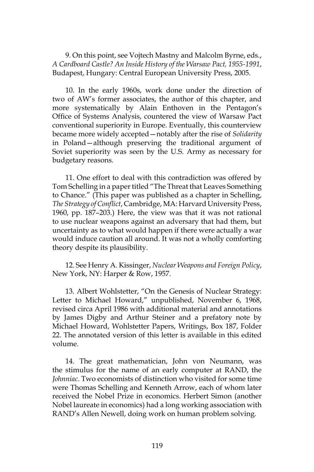9. On this point, see Vojtech Mastny and Malcolm Byrne, eds., *A Cardboard Castle? An Inside History of the Warsaw Pact, 1955-1991*, Budapest, Hungary: Central European University Press, 2005.

10. In the early 1960s, work done under the direction of two of AW's former associates, the author of this chapter, and more systematically by Alain Enthoven in the Pentagon's Office of Systems Analysis, countered the view of Warsaw Pact conventional superiority in Europe. Eventually, this counterview became more widely accepted—notably after the rise of *Solidarity* in Poland—although preserving the traditional argument of Soviet superiority was seen by the U.S. Army as necessary for budgetary reasons.

11. One effort to deal with this contradiction was offered by Tom Schelling in a paper titled "The Threat that Leaves Something to Chance." (This paper was published as a chapter in Schelling, *The Strategy of Conflict*, Cambridge, MA: Harvard University Press, 1960, pp. 187–203.) Here, the view was that it was not rational to use nuclear weapons against an adversary that had them, but uncertainty as to what would happen if there were actually a war would induce caution all around. It was not a wholly comforting theory despite its plausibility.

12. See Henry A. Kissinger, *Nuclear Weapons and Foreign Policy*, New York, NY: Harper & Row, 1957.

13. Albert Wohlstetter, "On the Genesis of Nuclear Strategy: Letter to Michael Howard," unpublished, November 6, 1968, revised circa April 1986 with additional material and annotations by James Digby and Arthur Steiner and a prefatory note by Michael Howard, Wohlstetter Papers, Writings, Box 187, Folder 22. The annotated version of this letter is available in this edited volume.

14. The great mathematician, John von Neumann, was the stimulus for the name of an early computer at RAND, the *Johnniac*. Two economists of distinction who visited for some time were Thomas Schelling and Kenneth Arrow, each of whom later received the Nobel Prize in economics. Herbert Simon (another Nobel laureate in economics) had a long working association with RAND's Allen Newell, doing work on human problem solving.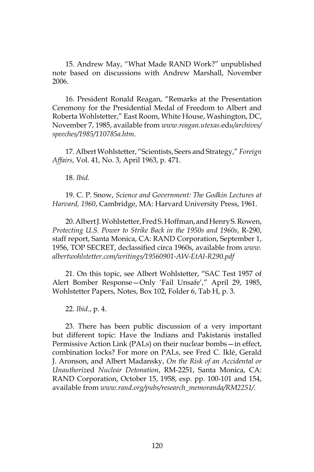15. Andrew May, "What Made RAND Work?" unpublished note based on discussions with Andrew Marshall, November 2006.

16. President Ronald Reagan, "Remarks at the Presentation Ceremony for the Presidential Medal of Freedom to Albert and Roberta Wohlstetter," East Room, White House, Washington, DC, November 7, 1985, available from *www.reagan.utexas.*ed*u/archives/ speeches/1985/110785a.htm*.

17. Albert Wohlstetter, "Scientists, Seers and Strategy," *Foreign Affairs*, Vol. 41, No. 3, April 1963, p. 471.

18. *Ibid.*

19. C. P. Snow, *Science and Government: The Godkin Lectures at Harvard, 1960*, Cambridge, MA: Harvard University Press, 1961.

20. Albert J. Wohlstetter, Fred S. Hoffman, and Henry S. Rowen, *Protecting U.S. Power to Strike Back in the 1950s and 1960s*, R-290, staff report, Santa Monica, CA: RAND Corporation, September 1, 1956, TOP SECRET, declassified circa 1960s, available from *www. albertwohlstetter.com/writings/19560901-AW-EtAl-R290.pdf*

21. On this topic, see Albert Wohlstetter, "SAC Test 1957 of Alert Bomber Response—Only 'Fail Unsafe'," April 29, 1985, Wohlstetter Papers, Notes, Box 102, Folder 6, Tab H, p. 3.

22. *Ibid.*, p. 4.

23. There has been public discussion of a very important but different topic: Have the Indians and Pakistanis installed Permissive Action Link (PALs) on their nuclear bombs—in effect, combination locks? For more on PALs, see Fred C. Iklé, Gerald J. Aronson, and Albert Madansky, *On the Risk of an Accidental or Unauthoriz*ed *Nuclear Detonation*, RM-2251, Santa Monica, CA: RAND Corporation, October 15, 1958, esp. pp. 100-101 and 154, available from *www.rand.org/pubs/research\_memoranda/RM2251/*.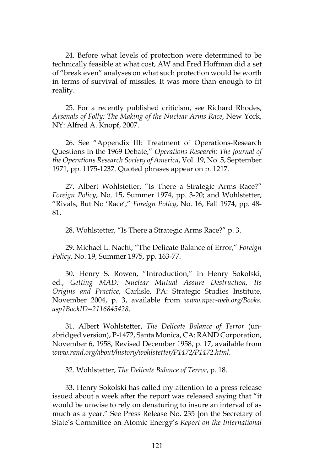24. Before what levels of protection were determined to be technically feasible at what cost, AW and Fred Hoffman did a set of "break even" analyses on what such protection would be worth in terms of survival of missiles. It was more than enough to fit reality.

25. For a recently published criticism, see Richard Rhodes, *Arsenals of Folly: The Making of the Nuclear Arms Race*, New York, NY: Alfred A. Knopf, 2007.

26. See "Appendix III: Treatment of Operations-Research Questions in the 1969 Debate," *Operations Research: The Journal of the Operations Research Society of America*, Vol. 19, No. 5, September 1971, pp. 1175-1237. Quoted phrases appear on p. 1217.

27. Albert Wohlstetter, "Is There a Strategic Arms Race?" *Foreign Policy*, No. 15, Summer 1974, pp. 3-20; and Wohlstetter, "Rivals, But No 'Race'," *Foreign Policy*, No. 16, Fall 1974, pp. 48- 81.

28. Wohlstetter, "Is There a Strategic Arms Race?" p. 3.

29. Michael L. Nacht, "The Delicate Balance of Error," *Foreign Policy*, No. 19, Summer 1975, pp. 163-77.

30. Henry S. Rowen, "Introduction," in Henry Sokolski, ed*.*, *Getting MAD: Nuclear Mutual Assure Destruction, Its Origins and Practice*, Carlisle, PA: Strategic Studies Institute, November 2004, p. 3, available from *www.npec-web.org/Books. asp?BookID=2116845428*.

31. Albert Wohlstetter, *The Delicate Balance of Terror* (unabridged version), P-1472, Santa Monica, CA: RAND Corporation, November 6, 1958, Revised December 1958, p. 17, available from *www.rand.org/about/history/wohlstetter/P1472/P1472.html*.

32. Wohlstetter, *The Delicate Balance of Terror*, p. 18.

33. Henry Sokolski has called my attention to a press release issued about a week after the report was released saying that "it would be unwise to rely on denaturing to insure an interval of as much as a year." See Press Release No. 235 [on the Secretary of State's Committee on Atomic Energy's *Report on the International*